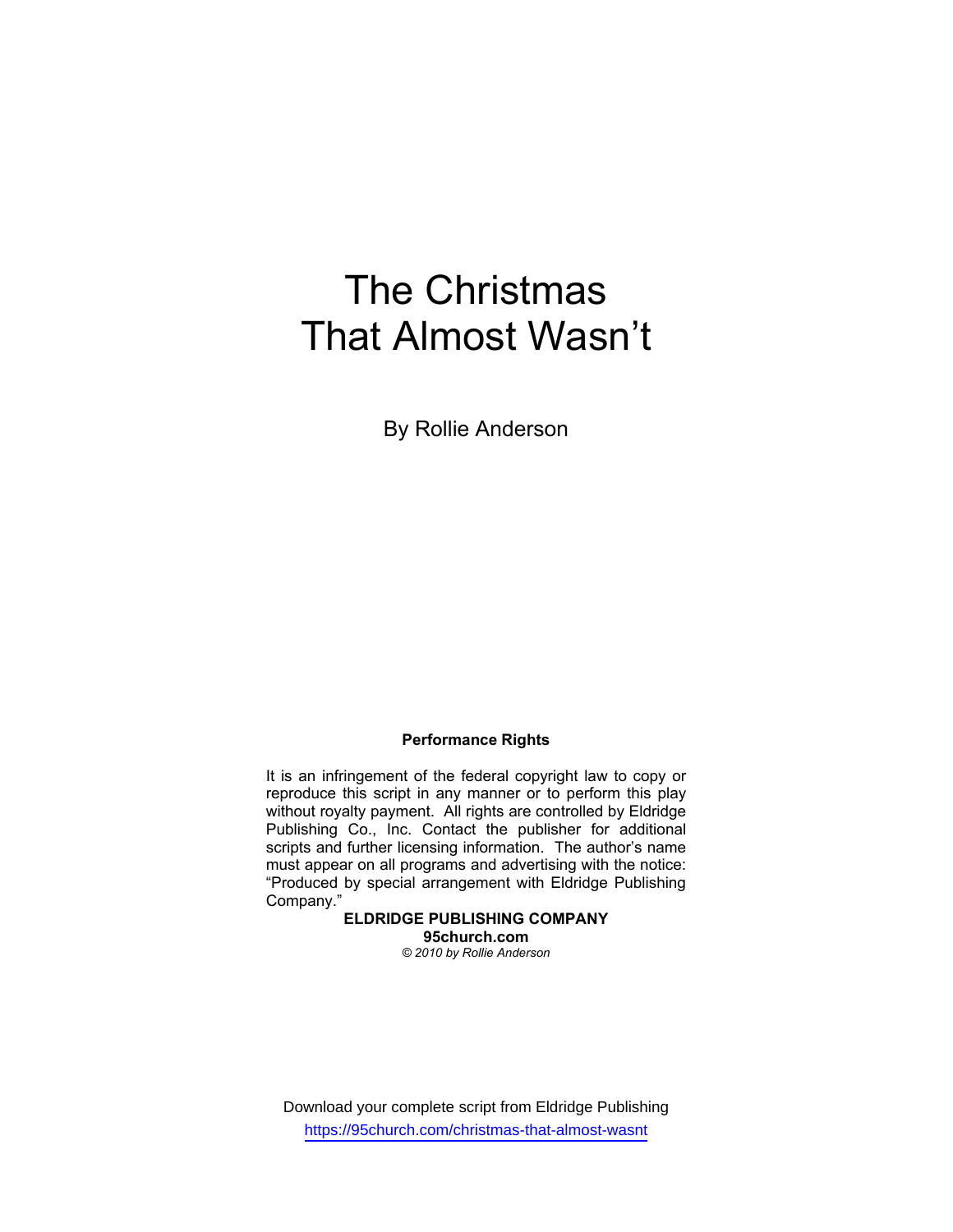# The Christmas That Almost Wasn't

By Rollie Anderson

# **Performance Rights**

It is an infringement of the federal copyright law to copy or reproduce this script in any manner or to perform this play without royalty payment. All rights are controlled by Eldridge Publishing Co., Inc. Contact the publisher for additional scripts and further licensing information. The author's name must appear on all programs and advertising with the notice: "Produced by special arrangement with Eldridge Publishing Company."

**ELDRIDGE PUBLISHING COMPANY 95church.com**  *© 2010 by Rollie Anderson* 

Download your complete script from Eldridge Publishing https://95church.com/christmas-that-almost-wasnt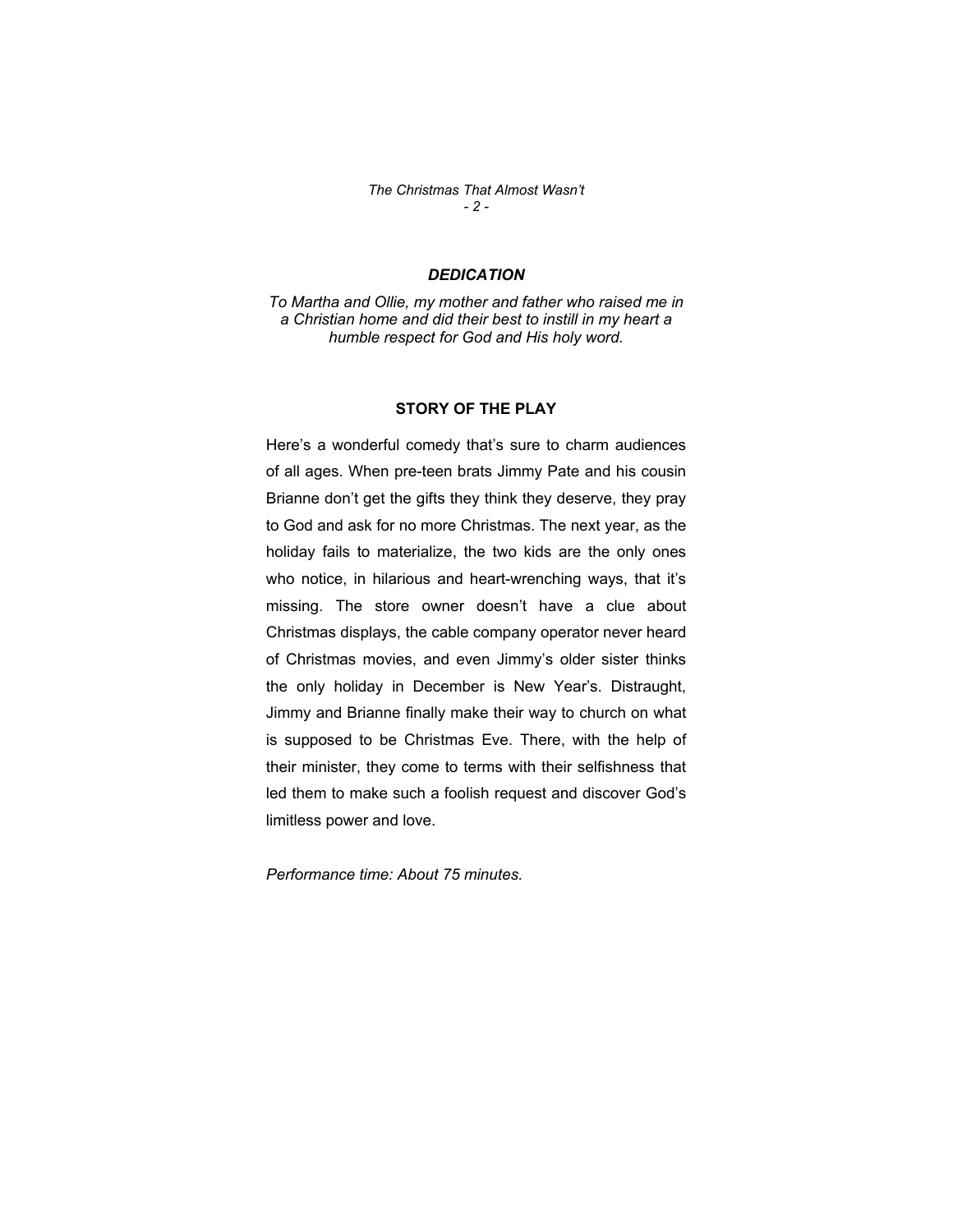*The Christmas That Almost Wasn't - 2 -* 

# *DEDICATION*

*To Martha and Ollie, my mother and father who raised me in a Christian home and did their best to instill in my heart a humble respect for God and His holy word.* 

#### **STORY OF THE PLAY**

Here's a wonderful comedy that's sure to charm audiences of all ages. When pre-teen brats Jimmy Pate and his cousin Brianne don't get the gifts they think they deserve, they pray to God and ask for no more Christmas. The next year, as the holiday fails to materialize, the two kids are the only ones who notice, in hilarious and heart-wrenching ways, that it's missing. The store owner doesn't have a clue about Christmas displays, the cable company operator never heard of Christmas movies, and even Jimmy's older sister thinks the only holiday in December is New Year's. Distraught, Jimmy and Brianne finally make their way to church on what is supposed to be Christmas Eve. There, with the help of their minister, they come to terms with their selfishness that led them to make such a foolish request and discover God's limitless power and love.

*Performance time: About 75 minutes.*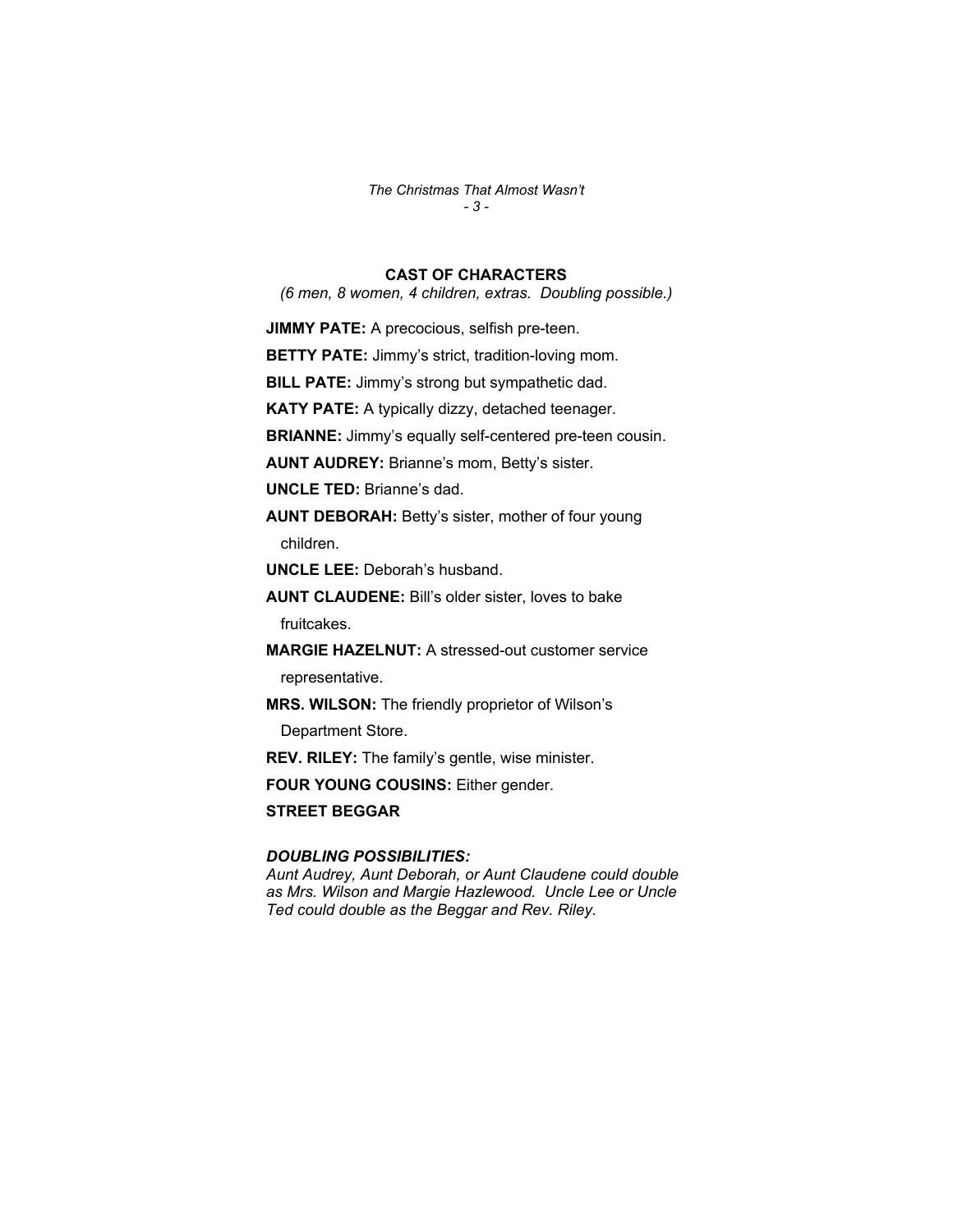*The Christmas That Almost Wasn't - 3 -* 

# **CAST OF CHARACTERS**

*(6 men, 8 women, 4 children, extras. Doubling possible.)* 

**JIMMY PATE:** A precocious, selfish pre-teen.

**BETTY PATE:** Jimmy's strict, tradition-loving mom.

**BILL PATE:** Jimmy's strong but sympathetic dad.

**KATY PATE:** A typically dizzy, detached teenager.

**BRIANNE:** Jimmy's equally self-centered pre-teen cousin.

**AUNT AUDREY:** Brianne's mom, Betty's sister.

**UNCLE TED:** Brianne's dad.

**AUNT DEBORAH:** Betty's sister, mother of four young children.

**UNCLE LEE:** Deborah's husband.

**AUNT CLAUDENE:** Bill's older sister, loves to bake fruitcakes.

**MARGIE HAZELNUT:** A stressed-out customer service

representative.

**MRS. WILSON:** The friendly proprietor of Wilson's

Department Store.

**REV. RILEY:** The family's gentle, wise minister.

**FOUR YOUNG COUSINS:** Either gender.

**STREET BEGGAR** 

# *DOUBLING POSSIBILITIES:*

*Aunt Audrey, Aunt Deborah, or Aunt Claudene could double as Mrs. Wilson and Margie Hazlewood. Uncle Lee or Uncle Ted could double as the Beggar and Rev. Riley.*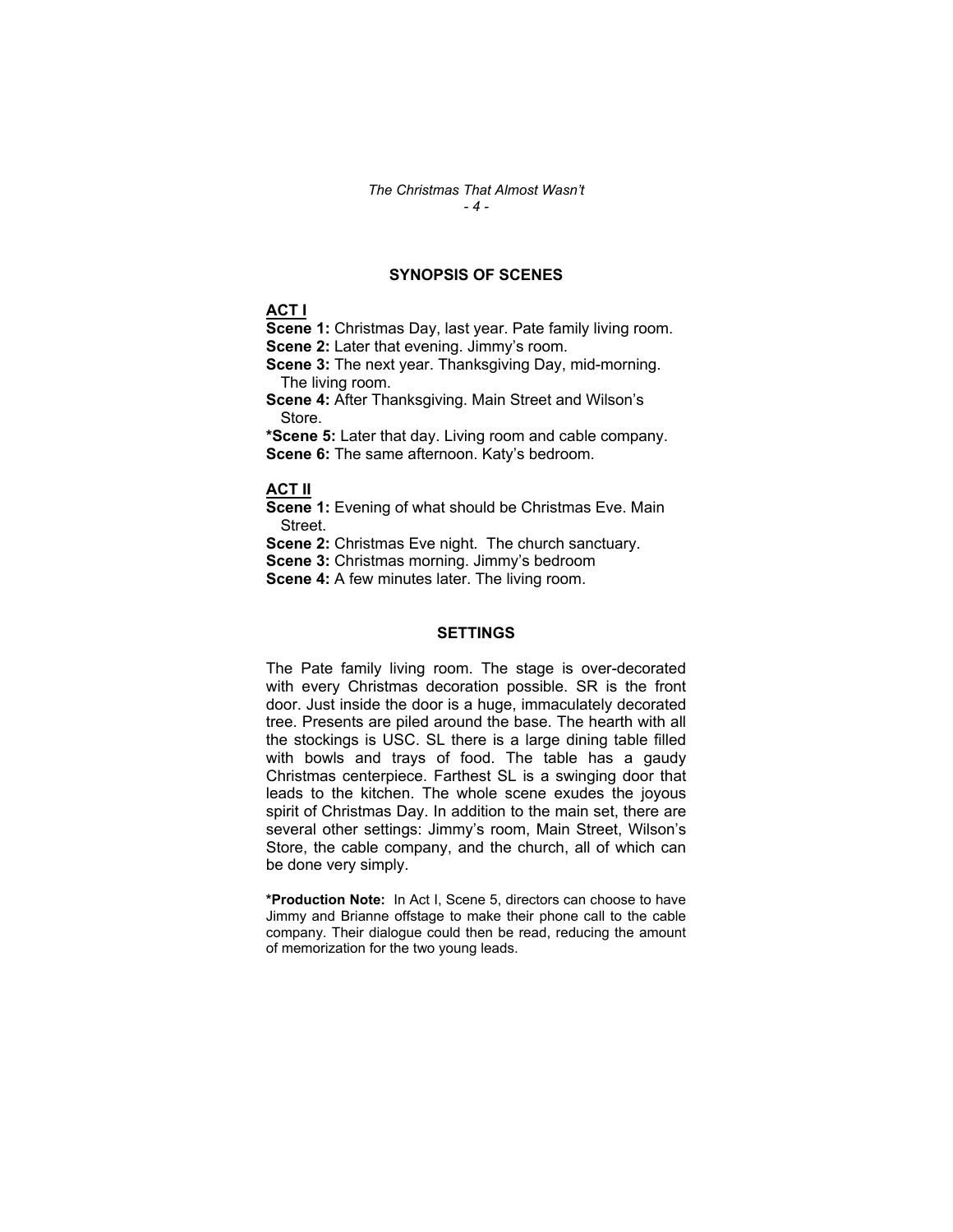# **SYNOPSIS OF SCENES**

# **ACT I**

**Scene 1:** Christmas Day, last year. Pate family living room. **Scene 2:** Later that evening. Jimmy's room.

**Scene 3:** The next year. Thanksgiving Day, mid-morning. The living room.

**Scene 4:** After Thanksgiving. Main Street and Wilson's Store.

**\*Scene 5:** Later that day. Living room and cable company. **Scene 6:** The same afternoon. Katy's bedroom.

#### **ACT II**

**Scene 1:** Evening of what should be Christmas Eve. Main Street.

**Scene 2:** Christmas Eve night. The church sanctuary.

**Scene 3:** Christmas morning. Jimmy's bedroom

**Scene 4:** A few minutes later. The living room.

### **SETTINGS**

The Pate family living room. The stage is over-decorated with every Christmas decoration possible. SR is the front door. Just inside the door is a huge, immaculately decorated tree. Presents are piled around the base. The hearth with all the stockings is USC. SL there is a large dining table filled with bowls and trays of food. The table has a gaudy Christmas centerpiece. Farthest SL is a swinging door that leads to the kitchen. The whole scene exudes the joyous spirit of Christmas Day. In addition to the main set, there are several other settings: Jimmy's room, Main Street, Wilson's Store, the cable company, and the church, all of which can be done very simply.

**\*Production Note:** In Act I, Scene 5, directors can choose to have Jimmy and Brianne offstage to make their phone call to the cable company. Their dialogue could then be read, reducing the amount of memorization for the two young leads.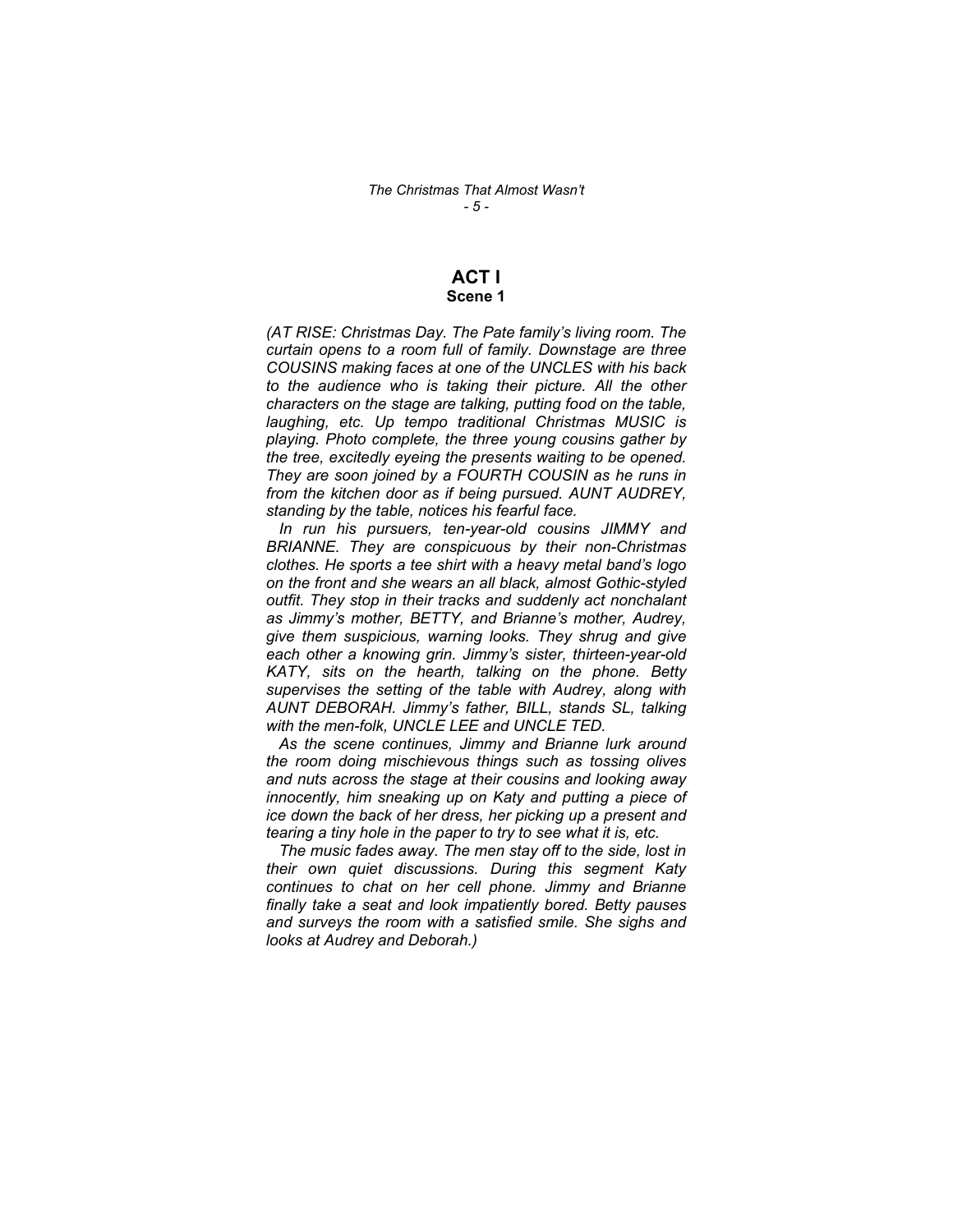# **ACT I**

# **Scene 1**

*(AT RISE: Christmas Day. The Pate family's living room. The curtain opens to a room full of family. Downstage are three COUSINS making faces at one of the UNCLES with his back to the audience who is taking their picture. All the other characters on the stage are talking, putting food on the table, laughing, etc. Up tempo traditional Christmas MUSIC is playing. Photo complete, the three young cousins gather by the tree, excitedly eyeing the presents waiting to be opened. They are soon joined by a FOURTH COUSIN as he runs in from the kitchen door as if being pursued. AUNT AUDREY, standing by the table, notices his fearful face.* 

 *In run his pursuers, ten-year-old cousins JIMMY and BRIANNE. They are conspicuous by their non-Christmas clothes. He sports a tee shirt with a heavy metal band's logo on the front and she wears an all black, almost Gothic-styled outfit. They stop in their tracks and suddenly act nonchalant as Jimmy's mother, BETTY, and Brianne's mother, Audrey, give them suspicious, warning looks. They shrug and give each other a knowing grin. Jimmy's sister, thirteen-year-old KATY, sits on the hearth, talking on the phone. Betty supervises the setting of the table with Audrey, along with AUNT DEBORAH. Jimmy's father, BILL, stands SL, talking with the men-folk, UNCLE LEE and UNCLE TED.* 

 *As the scene continues, Jimmy and Brianne lurk around the room doing mischievous things such as tossing olives and nuts across the stage at their cousins and looking away innocently, him sneaking up on Katy and putting a piece of ice down the back of her dress, her picking up a present and tearing a tiny hole in the paper to try to see what it is, etc.* 

 *The music fades away. The men stay off to the side, lost in their own quiet discussions. During this segment Katy continues to chat on her cell phone. Jimmy and Brianne finally take a seat and look impatiently bored. Betty pauses and surveys the room with a satisfied smile. She sighs and looks at Audrey and Deborah.)*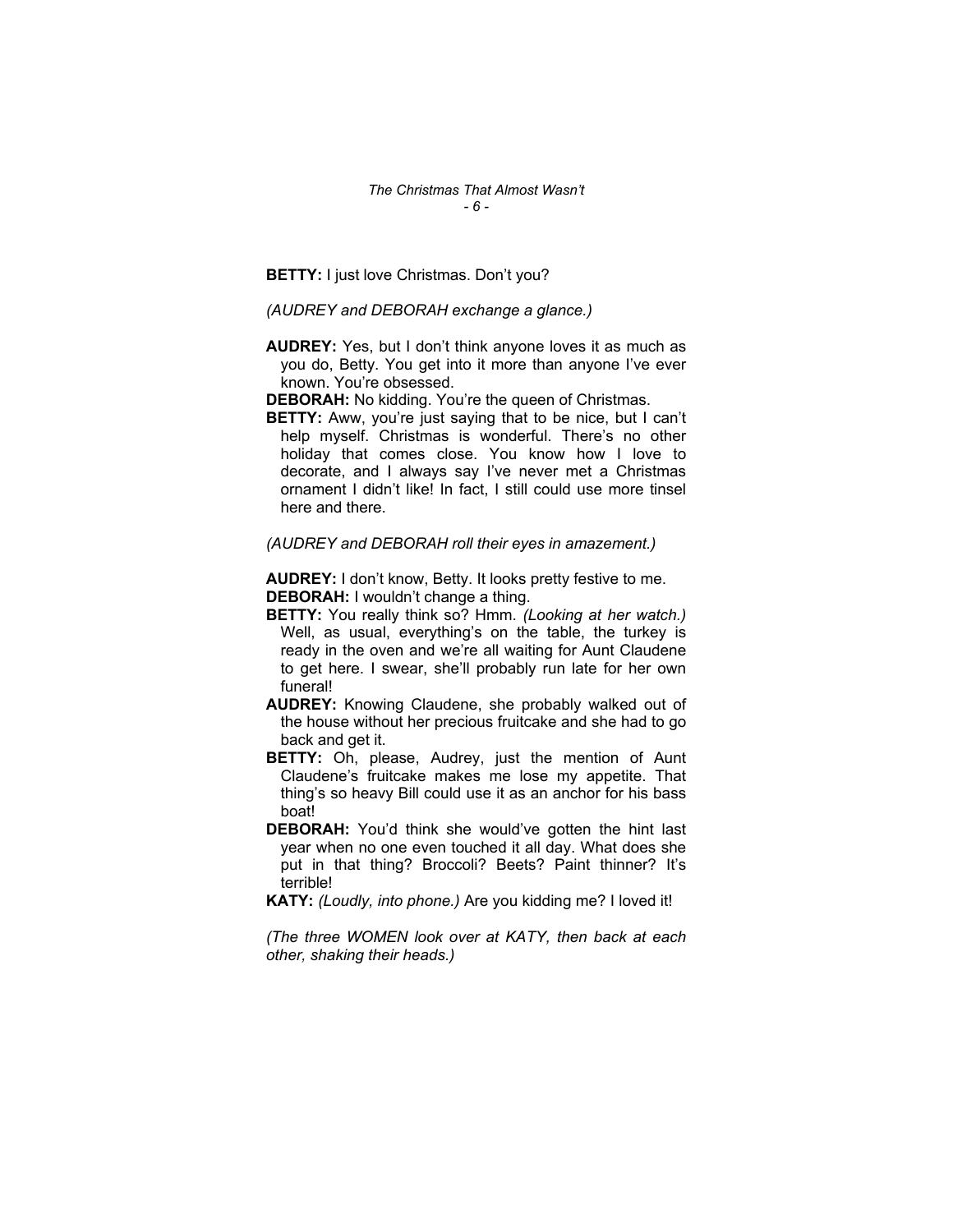**BETTY:** I just love Christmas. Don't you?

*(AUDREY and DEBORAH exchange a glance.)* 

- **AUDREY:** Yes, but I don't think anyone loves it as much as you do, Betty. You get into it more than anyone I've ever known. You're obsessed.
- **DEBORAH:** No kidding. You're the queen of Christmas.
- **BETTY:** Aww, you're just saying that to be nice, but I can't help myself. Christmas is wonderful. There's no other holiday that comes close. You know how I love to decorate, and I always say I've never met a Christmas ornament I didn't like! In fact, I still could use more tinsel here and there.

#### *(AUDREY and DEBORAH roll their eyes in amazement.)*

**AUDREY:** I don't know, Betty. It looks pretty festive to me. **DEBORAH:** I wouldn't change a thing.

- **BETTY:** You really think so? Hmm. *(Looking at her watch.)*  Well, as usual, everything's on the table, the turkey is ready in the oven and we're all waiting for Aunt Claudene to get here. I swear, she'll probably run late for her own funeral!
- **AUDREY:** Knowing Claudene, she probably walked out of the house without her precious fruitcake and she had to go back and get it.
- **BETTY:** Oh, please, Audrey, just the mention of Aunt Claudene's fruitcake makes me lose my appetite. That thing's so heavy Bill could use it as an anchor for his bass boat!
- **DEBORAH:** You'd think she would've gotten the hint last year when no one even touched it all day. What does she put in that thing? Broccoli? Beets? Paint thinner? It's terrible!

**KATY:** *(Loudly, into phone.)* Are you kidding me? I loved it!

*(The three WOMEN look over at KATY, then back at each other, shaking their heads.)*